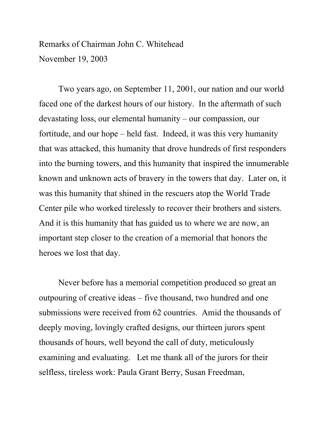## Remarks of Chairman John C. Whitehead November 19, 2003

 Two years ago, on September 11, 2001, our nation and our world faced one of the darkest hours of our history. In the aftermath of such devastating loss, our elemental humanity – our compassion, our fortitude, and our hope – held fast. Indeed, it was this very humanity that was attacked, this humanity that drove hundreds of first responders into the burning towers, and this humanity that inspired the innumerable known and unknown acts of bravery in the towers that day. Later on, it was this humanity that shined in the rescuers atop the World Trade Center pile who worked tirelessly to recover their brothers and sisters. And it is this humanity that has guided us to where we are now, an important step closer to the creation of a memorial that honors the heroes we lost that day.

Never before has a memorial competition produced so great an outpouring of creative ideas – five thousand, two hundred and one submissions were received from 62 countries. Amid the thousands of deeply moving, lovingly crafted designs, our thirteen jurors spent thousands of hours, well beyond the call of duty, meticulously examining and evaluating. Let me thank all of the jurors for their selfless, tireless work: Paula Grant Berry, Susan Freedman,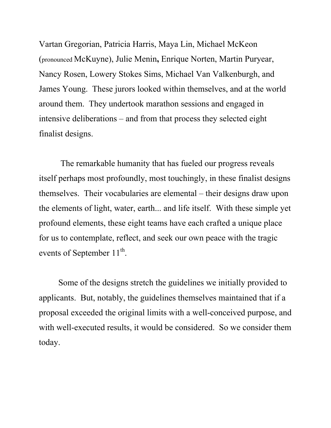Vartan Gregorian, Patricia Harris, Maya Lin, Michael McKeon (pronounced McKuyne), Julie Menin**,** Enrique Norten, Martin Puryear, Nancy Rosen, Lowery Stokes Sims, Michael Van Valkenburgh, and James Young. These jurors looked within themselves, and at the world around them. They undertook marathon sessions and engaged in intensive deliberations – and from that process they selected eight finalist designs.

 The remarkable humanity that has fueled our progress reveals itself perhaps most profoundly, most touchingly, in these finalist designs themselves. Their vocabularies are elemental – their designs draw upon the elements of light, water, earth... and life itself. With these simple yet profound elements, these eight teams have each crafted a unique place for us to contemplate, reflect, and seek our own peace with the tragic events of September  $11^{th}$ .

Some of the designs stretch the guidelines we initially provided to applicants. But, notably, the guidelines themselves maintained that if a proposal exceeded the original limits with a well-conceived purpose, and with well-executed results, it would be considered. So we consider them today.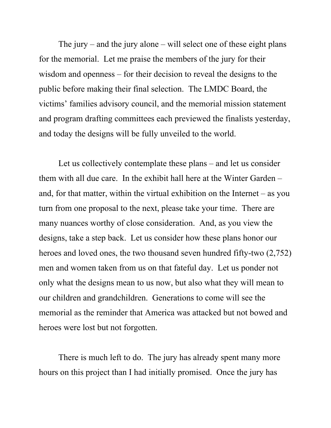The jury – and the jury alone – will select one of these eight plans for the memorial. Let me praise the members of the jury for their wisdom and openness – for their decision to reveal the designs to the public before making their final selection. The LMDC Board, the victims' families advisory council, and the memorial mission statement and program drafting committees each previewed the finalists yesterday, and today the designs will be fully unveiled to the world.

Let us collectively contemplate these plans – and let us consider them with all due care. In the exhibit hall here at the Winter Garden – and, for that matter, within the virtual exhibition on the Internet – as you turn from one proposal to the next, please take your time. There are many nuances worthy of close consideration. And, as you view the designs, take a step back. Let us consider how these plans honor our heroes and loved ones, the two thousand seven hundred fifty-two (2,752) men and women taken from us on that fateful day. Let us ponder not only what the designs mean to us now, but also what they will mean to our children and grandchildren. Generations to come will see the memorial as the reminder that America was attacked but not bowed and heroes were lost but not forgotten.

 There is much left to do. The jury has already spent many more hours on this project than I had initially promised. Once the jury has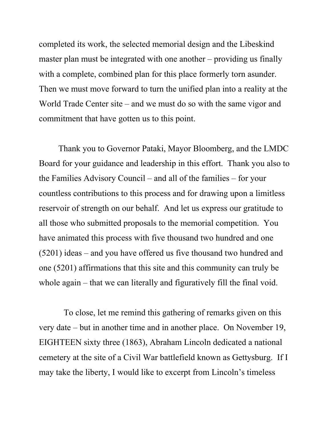completed its work, the selected memorial design and the Libeskind master plan must be integrated with one another – providing us finally with a complete, combined plan for this place formerly torn asunder. Then we must move forward to turn the unified plan into a reality at the World Trade Center site – and we must do so with the same vigor and commitment that have gotten us to this point.

 Thank you to Governor Pataki, Mayor Bloomberg, and the LMDC Board for your guidance and leadership in this effort. Thank you also to the Families Advisory Council – and all of the families – for your countless contributions to this process and for drawing upon a limitless reservoir of strength on our behalf. And let us express our gratitude to all those who submitted proposals to the memorial competition. You have animated this process with five thousand two hundred and one (5201) ideas – and you have offered us five thousand two hundred and one (5201) affirmations that this site and this community can truly be whole again – that we can literally and figuratively fill the final void.

 To close, let me remind this gathering of remarks given on this very date – but in another time and in another place. On November 19, EIGHTEEN sixty three (1863), Abraham Lincoln dedicated a national cemetery at the site of a Civil War battlefield known as Gettysburg. If I may take the liberty, I would like to excerpt from Lincoln's timeless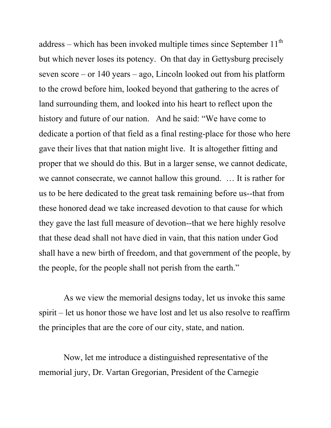address – which has been invoked multiple times since September  $11<sup>th</sup>$ but which never loses its potency. On that day in Gettysburg precisely seven score – or 140 years – ago, Lincoln looked out from his platform to the crowd before him, looked beyond that gathering to the acres of land surrounding them, and looked into his heart to reflect upon the history and future of our nation. And he said: "We have come to dedicate a portion of that field as a final resting-place for those who here gave their lives that that nation might live. It is altogether fitting and proper that we should do this. But in a larger sense, we cannot dedicate, we cannot consecrate, we cannot hallow this ground. … It is rather for us to be here dedicated to the great task remaining before us--that from these honored dead we take increased devotion to that cause for which they gave the last full measure of devotion--that we here highly resolve that these dead shall not have died in vain, that this nation under God shall have a new birth of freedom, and that government of the people, by the people, for the people shall not perish from the earth."

 As we view the memorial designs today, let us invoke this same spirit – let us honor those we have lost and let us also resolve to reaffirm the principles that are the core of our city, state, and nation.

 Now, let me introduce a distinguished representative of the memorial jury, Dr. Vartan Gregorian, President of the Carnegie